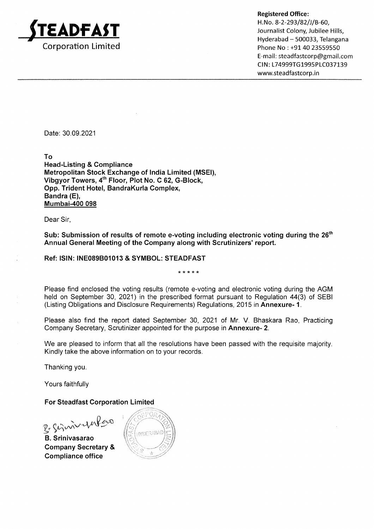

Registered Office:

H. No. 8-2-293/82/J/B-60, Journalist Colony, Jubilee Hills, Hyderabad - 500033, Telangana Phone No : +91 40 23559550 E-mail: steadfastcorp@gmail.com CIN: L74999TG1995PLC037139 www.steadfastcorp.in

Date: 30.09.2021

To

Head-Listing & Compliance Metropolitan Stock Exchange of lndia Limited (MSEI), Vibgyor Towers, 4<sup>th</sup> Floor, Plot No. C 62, G-Block, Opp. Trident Hotel, BandraKurla Complex, Bandra (E), Mumbai-400 098

Dear Sir,

Sub: Submission of results of remote e-voting including electronic voting during the 26<sup>th</sup> Annual General Meeting of the Company along with Scrutinizers' report.

### Ref: ISIN: INE089B01013 & SYMBOL: STEADFAST

Please find enclosed the voting results (remote e-voting and electronic voting during the AGM held on September 30, 2021) in the prescribed format pursuant to Regulation 44(3) of SEBI (Listing Obligations and Disclosure Requirements) Regulations, 2015 in Annexure- 1.

Please also find the report dated September 30, 2021 of Mr. V. Bhaskara Rao, Practicing Company Secretary, Scrutinizer appointed for the purpose in Annexure- 2.

We are pleased to inform that all the resolutions have been passed with the requisite majority. Kindly take the above information on to your records.

Thanking you

Yours faithfully

### For Steadfast Corporation Limited

B. Simmerfor

B. Srinivasarao Company Secretary & Gompliance office

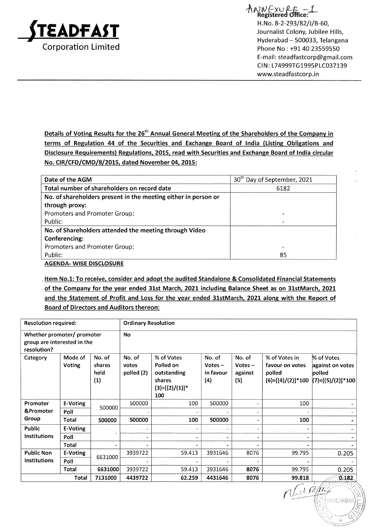

 $\land\land\land\lor\lor\land\land\vdots$ <br>Registered Office: H. No. 8-2-293/82/J/B-60, Journalist Colony, Jubilee Hills, Hyderabad - 500033, Telangana Phone No : +91 40 23559550 E-mail: steadfastcorp@gmail.com CIN: L74999TG1995PLC037139 www.steadfastcorp.in

Details of Voting Results for the 26<sup>th</sup> Annual General Meeting of the Shareholders of the Company in terms of Regulation 44 of the Securities and Exchange Board of India (Listing Obligations and Disclosure Requirements) Regulations, 2015, read with Securities and Exchange Board of India circular No. CIR/CFD/CMD/8/2015, dated November 04, 2015:

| Date of the AGM                                                | 30 <sup>th</sup> Day of September, 2021 |
|----------------------------------------------------------------|-----------------------------------------|
| Total number of shareholders on record date                    | 6182                                    |
| No. of shareholders present in the meeting either in person or |                                         |
| through proxy:                                                 |                                         |
| Promoters and Promoter Group:                                  | $\overline{\phantom{a}}$                |
| Public:                                                        |                                         |
| No. of Shareholders attended the meeting through Video         |                                         |
| Conferencing:                                                  |                                         |
| Promoters and Promoter Group:                                  |                                         |
| Public:                                                        | 85                                      |
|                                                                |                                         |

**AGENDA- WISE DISCLOSURE** 

Item No.1: To receive, consider and adopt the audited Standalone & Consolidated Financial Statements of the Companv for the vear ended 31st March. 2021 including Balance Sheet as on 3lstMarch. <sup>2021</sup> and the Statement of Profit and Loss for the year ended 31stMarch, 2021 along with the Report of Board of Directors and Auditors thereon:

| <b>Resolution required:</b>                                              |                   |                                 | <b>Ordinary Resolution</b>    |                                                                              |                                         |                                       |                                                                   |                                                               |
|--------------------------------------------------------------------------|-------------------|---------------------------------|-------------------------------|------------------------------------------------------------------------------|-----------------------------------------|---------------------------------------|-------------------------------------------------------------------|---------------------------------------------------------------|
| Whether promoter/ promoter<br>group are interested in the<br>resolution? |                   |                                 | <b>No</b>                     |                                                                              |                                         |                                       |                                                                   |                                                               |
| Category                                                                 | Mode of<br>Voting | No. of<br>shares<br>held<br>(1) | No. of<br>votes<br>polled (2) | % of Votes<br>Polled on<br>outstanding<br>shares<br>$(3)=[(2)/(1)]$ *<br>100 | No. of<br>Votes $-$<br>in favour<br>(4) | No. of<br>Votes $-$<br>against<br>(5) | % of Votes in<br>favour on votes<br>polled<br>$(6)=[(4)/(2)]*100$ | % of Votes<br>against on votes<br>polled<br>(7)=[(5)/(2)]*100 |
| Promoter                                                                 | E-Voting          | 500000                          | 500000                        | 100                                                                          | 500000                                  |                                       | 100                                                               |                                                               |
| &Promoter                                                                | Poll              |                                 |                               |                                                                              |                                         |                                       |                                                                   |                                                               |
| Group                                                                    | Total             | 500000                          | 500000                        | 100                                                                          | 500000                                  | $\blacksquare$                        | 100                                                               |                                                               |
| Public                                                                   | E-Voting          |                                 | ۰.                            |                                                                              |                                         | $\overline{\phantom{a}}$              |                                                                   |                                                               |
| <b>Institutions</b>                                                      | Poll              |                                 |                               | ۰                                                                            |                                         | $\blacksquare$                        |                                                                   |                                                               |
|                                                                          | Total             | $\blacksquare$                  |                               |                                                                              |                                         |                                       |                                                                   |                                                               |
| <b>Public Non</b>                                                        | E-Voting          | 6631000                         | 3939722                       | 59.413                                                                       | 3931646                                 | 8076                                  | 99.795                                                            | 0.205                                                         |
| Institutions                                                             | Poll              |                                 |                               |                                                                              |                                         |                                       |                                                                   |                                                               |
|                                                                          | Total             | 6631000                         | 3939722                       | 59.413                                                                       | 3931646                                 | 8076                                  | 99.795                                                            | 0.205                                                         |
|                                                                          | Total             | 7131000                         | 4439722                       | 62.259                                                                       | 4431646                                 | 8076                                  | 99.818                                                            | 0.182                                                         |

)t  $-1$ **WDERABAI**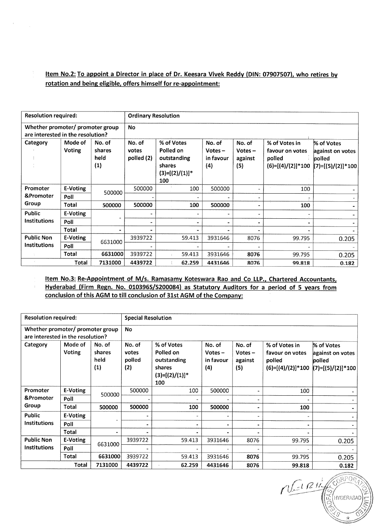Item No.2: To appoint a Director in place of Dr. Keesara Vivek Reddy (DIN: 07907507), who retires by rotation and being eligible. offers himself for re-appointment:

 $\sim$   $^{\circ}$ 

| <b>Resolution required:</b>                                           |                          |                                               | <b>Ordinary Resolution</b>    |                                                                              |                                         |                                       |                                                                   |                                                                 |
|-----------------------------------------------------------------------|--------------------------|-----------------------------------------------|-------------------------------|------------------------------------------------------------------------------|-----------------------------------------|---------------------------------------|-------------------------------------------------------------------|-----------------------------------------------------------------|
| Whether promoter/ promoter group<br>are interested in the resolution? |                          |                                               | <b>No</b>                     |                                                                              |                                         |                                       |                                                                   |                                                                 |
| Category                                                              | Mode of<br><b>Voting</b> | No. of<br>shares<br>held<br>$\left( 1\right)$ | No. of<br>votes<br>polled (2) | % of Votes<br>Polled on<br>outstanding<br>shares<br>$(3)=[(2)/(1)]$ *<br>100 | No. of<br>$Votes -$<br>in favour<br>(4) | No. of<br>Votes $-$<br>against<br>(5) | % of Votes in<br>favour on votes<br>polled<br>$(6)=[(4)/(2)]*100$ | % of Votes<br>against on votes<br>polled<br>$(7)=[(5)/(2)]*100$ |
| Promoter                                                              | E-Voting                 | 500000                                        | 500000                        | 100                                                                          | 500000                                  |                                       | 100                                                               |                                                                 |
| &Promoter                                                             | Poll                     |                                               |                               |                                                                              |                                         |                                       |                                                                   |                                                                 |
| Group                                                                 | Total                    | 500000                                        | 500000                        | 100                                                                          | 500000                                  |                                       | 100                                                               |                                                                 |
| Public                                                                | E-Voting                 |                                               |                               |                                                                              |                                         |                                       |                                                                   |                                                                 |
| <b>Institutions</b>                                                   | Poll                     |                                               |                               |                                                                              | <br>-                                   |                                       |                                                                   |                                                                 |
|                                                                       | Total                    |                                               |                               |                                                                              |                                         |                                       |                                                                   |                                                                 |
| <b>Public Non</b>                                                     | E-Voting                 | 6631000                                       | 3939722                       | 59.413                                                                       | 3931646                                 | 8076                                  | 99.795                                                            | 0.205                                                           |
| <b>Institutions</b>                                                   | Poll                     |                                               |                               |                                                                              |                                         |                                       |                                                                   |                                                                 |
|                                                                       | Total                    | 6631000                                       | 3939722                       | 59.413                                                                       | 3931646                                 | 8076                                  | 99.795                                                            | 0.205                                                           |
|                                                                       | Total                    | 7131000                                       | 4439722                       | 62.259                                                                       | 4431646                                 | 8076                                  | 99.818                                                            | 0.182                                                           |

Item No.3: Re-Appointment of M/s. Ramasamy Koteswara Rao and Co LLP., Chartered Accountants, Hyderabad (Firm Regn. No. 010396S/S200084) as Statutory Auditors for a period of 5 years from conclusion of this AGM to till conclusion of 31st AGM of the Companv:

| <b>Resolution required:</b>                                           |                   |                                 | <b>Special Resolution</b>        |                                                                              |                                         |                                       |                                                                   |                                                                 |
|-----------------------------------------------------------------------|-------------------|---------------------------------|----------------------------------|------------------------------------------------------------------------------|-----------------------------------------|---------------------------------------|-------------------------------------------------------------------|-----------------------------------------------------------------|
| Whether promoter/ promoter group<br>are interested in the resolution? |                   |                                 | <b>No</b>                        |                                                                              |                                         |                                       |                                                                   |                                                                 |
| Category                                                              | Mode of<br>Voting | No. of<br>shares<br>held<br>(1) | No. of<br>votes<br>polled<br>(2) | % of Votes<br>Polled on<br>outstanding<br>shares<br>$(3)=[(2)/(1)]$ *<br>100 | No. of<br>$Votes -$<br>in favour<br>(4) | No. of<br>$Votes -$<br>against<br>(5) | % of Votes in<br>favour on votes<br>polled<br>$(6)=[(4)/(2)]*100$ | % of Votes<br>against on votes<br>polled<br>$(7)=[(5)/(2)]*100$ |
| Promoter                                                              | E-Voting          | 500000                          | 500000                           | 100                                                                          | 500000                                  |                                       | 100                                                               |                                                                 |
| &Promoter                                                             | Poll              |                                 |                                  |                                                                              |                                         |                                       |                                                                   |                                                                 |
| Group                                                                 | Total             | 500000                          | 500000                           | 100                                                                          | 500000                                  |                                       | 100                                                               |                                                                 |
| <b>Public</b>                                                         | E-Voting          |                                 | $\blacksquare$                   |                                                                              |                                         |                                       |                                                                   |                                                                 |
| <b>Institutions</b>                                                   | Poll              |                                 | $\blacksquare$                   | ۰                                                                            |                                         |                                       |                                                                   |                                                                 |
|                                                                       | Total             | $\bullet$                       |                                  |                                                                              |                                         |                                       |                                                                   |                                                                 |
| <b>Public Non</b>                                                     | E-Voting          | 6631000                         | 3939722                          | 59.413                                                                       | 3931646                                 | 8076                                  | 99.795                                                            | 0.205                                                           |
| <b>Institutions</b>                                                   | Poll              |                                 |                                  |                                                                              |                                         |                                       |                                                                   |                                                                 |
|                                                                       | Total             | 6631000                         | 3939722                          | 59.413                                                                       | 3931646                                 | 8076                                  | 99.795                                                            | 0.205                                                           |
|                                                                       | Total             | 7131000                         | 4439722                          | 62.259                                                                       | 4431646                                 | 8076                                  | 99.818                                                            | 0.182                                                           |

 $n$ HYI) ERABAD  $\scriptstyle\mathrel{\mathop{\curvearrowright}}$ LL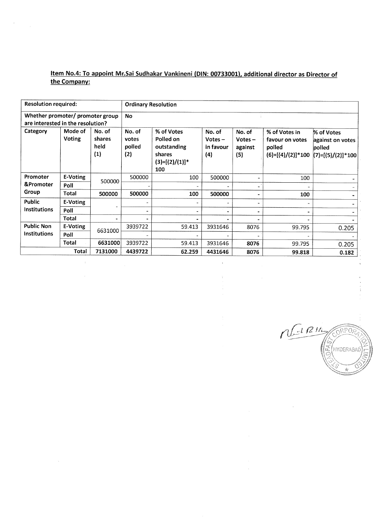### Item No.4: To appoint Mr.Sai Sudhakar Vankineni (DIN: 00733001), additional director as Director of the Companv:

 $\label{eq:2.1} \frac{1}{\left\| \left( \frac{1}{\lambda} \right) \right\|_{\mathcal{L}^{2}}^{2}} \leq \frac{1}{\lambda}$ 

 $\bar{z}$ 

 $\hat{\mathbf{z}}$ 

| <b>Resolution required:</b>                                           |                   |                                 | <b>Ordinary Resolution</b>       |                                                                              |                                         |                                       |                                                                   |                                                                 |
|-----------------------------------------------------------------------|-------------------|---------------------------------|----------------------------------|------------------------------------------------------------------------------|-----------------------------------------|---------------------------------------|-------------------------------------------------------------------|-----------------------------------------------------------------|
| Whether promoter/ promoter group<br>are interested in the resolution? |                   |                                 | <b>No</b>                        |                                                                              |                                         |                                       |                                                                   |                                                                 |
| Category                                                              | Mode of<br>Voting | No. of<br>shares<br>held<br>(1) | No. of<br>votes<br>polled<br>(2) | % of Votes<br>Polled on<br>outstanding<br>shares<br>$(3)=[(2)/(1)]$ *<br>100 | No. of<br>$Votes -$<br>in favour<br>(4) | No. of<br>$Votes -$<br>against<br>(5) | % of Votes in<br>favour on votes<br>polled<br>$(6)=[(4)/(2)]*100$ | % of Votes<br>against on votes<br>polled<br>$(7)=[(5)/(2)]*100$ |
| Promoter                                                              | E-Voting          | 500000                          | 500000                           | 100                                                                          | 500000                                  |                                       | 100                                                               |                                                                 |
| &Promoter                                                             | Poll              |                                 |                                  |                                                                              |                                         |                                       |                                                                   |                                                                 |
| Group                                                                 | <b>Total</b>      | 500000                          | 500000                           | 100                                                                          | 500000                                  | ۰                                     | 100                                                               |                                                                 |
| <b>Public</b>                                                         | E-Voting          |                                 |                                  |                                                                              |                                         | $\tilde{\phantom{a}}$                 |                                                                   |                                                                 |
| <b>Institutions</b>                                                   | Poll              |                                 | ×.                               |                                                                              |                                         | $\bullet$                             |                                                                   |                                                                 |
|                                                                       | Total             |                                 |                                  |                                                                              |                                         |                                       |                                                                   |                                                                 |
| <b>Public Non</b>                                                     | E-Voting          | 6631000                         | 3939722                          | 59.413                                                                       | 3931646                                 | 8076                                  | 99.795                                                            | 0.205                                                           |
| <b>Institutions</b>                                                   | Poll              |                                 |                                  |                                                                              |                                         |                                       |                                                                   |                                                                 |
|                                                                       | Total             | 6631000                         | 3939722                          | 59.413                                                                       | 3931646                                 | 8076                                  | 99.795                                                            | 0.205                                                           |
|                                                                       | Total             | 7131000                         | 4439722                          | 62.259                                                                       | 4431646                                 | 8076                                  | 99.818                                                            | 0.182                                                           |

l,

 $\frac{\sqrt{181}}{2}$ **CORPORA**  $\mathbb{E}$ (HYDERABAD) ų.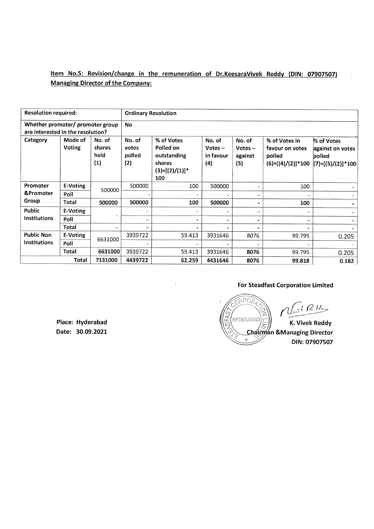Item No.5: Revision/change in the remuneration of Dr.KeesaraVivek Reddy (DIN: 07907507) Managing Director of the Company:

| <b>Resolution required:</b>                                           |                   |                                 | <b>Ordinary Resolution</b>       |                                                                              |                                         |                                       |                                                                   |                                                                 |
|-----------------------------------------------------------------------|-------------------|---------------------------------|----------------------------------|------------------------------------------------------------------------------|-----------------------------------------|---------------------------------------|-------------------------------------------------------------------|-----------------------------------------------------------------|
| Whether promoter/ promoter group<br>are interested in the resolution? |                   |                                 | <b>No</b>                        |                                                                              |                                         |                                       |                                                                   |                                                                 |
| Category                                                              | Mode of<br>Voting | No. of<br>shares<br>held<br>(1) | No. of<br>votes<br>polled<br>(2) | % of Votes<br>Polled on<br>outstanding<br>shares<br>$(3)=[(2)/(1)]^*$<br>100 | No. of<br>$Votes -$<br>in favour<br>(4) | No. of<br>$Votes -$<br>against<br>(5) | % of Votes in<br>favour on votes<br>polled<br>$(6)=[(4)/(2)]*100$ | % of Votes<br>against on votes<br>polled<br>$(7)=[(5)/(2)]*100$ |
| Promoter                                                              | E-Voting          | 500000                          | 500000                           | 100                                                                          | 500000                                  |                                       | 100                                                               |                                                                 |
| &Promoter                                                             | Poll              |                                 |                                  |                                                                              |                                         |                                       |                                                                   |                                                                 |
| Group                                                                 | Total             | 500000                          | 500000                           | 100                                                                          | 500000                                  |                                       | 100                                                               |                                                                 |
| Public                                                                | E-Voting          |                                 | ٠                                |                                                                              | $\blacksquare$                          |                                       |                                                                   |                                                                 |
| Institutions                                                          | Poll              |                                 | ۰.                               | $\blacksquare$                                                               | ۰                                       |                                       | $\blacksquare$                                                    |                                                                 |
|                                                                       | Total             | ٠                               | $\bullet$                        |                                                                              |                                         |                                       | ٠                                                                 |                                                                 |
| <b>Public Non</b>                                                     | E-Voting          | 6631000                         | 3939722                          | 59.413                                                                       | 3931646                                 | 8076                                  | 99.795                                                            | 0.205                                                           |
| <b>Institutions</b>                                                   | Poll              |                                 |                                  |                                                                              |                                         |                                       |                                                                   |                                                                 |
|                                                                       | Total             | 6631000                         | 3939722                          | 59.413                                                                       | 3931646                                 | 8076                                  | 99.795                                                            | 0.205                                                           |
|                                                                       | Total             | 7131000                         | 4439722                          | 62.259                                                                       | 4431646                                 | 8076                                  | 99.818                                                            | 0.182                                                           |

### For Steadfast Corporation Limited

 $RPOR$  $1RH<sub>2</sub>$ 도 HYDERABAD K. Vivek Reddy Chairman & Managing Director  $\mathcal{A}_\mathrm{p}$ DIN:07907507

Place: Hyderabad Date: 30.09.2021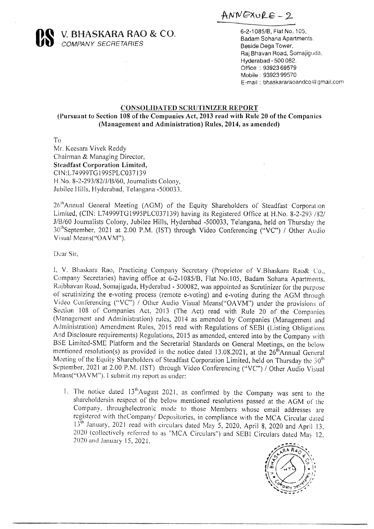ANNEXURE - 2



**SEARA RAO & CO.** 6-2-1085/B, Flat No. 105, 6-2-1085/B, Flat No. 105, 6-2-1085/B, Flat No. 105, 6-2-1085/B, Flat No. 105, 6-1085/B, Flat No. 105, 6-1085/B, Flat No. 105, 6-1085/B, Flat No. 105, 6-1085/B, Flat No. 105, 6-10

**COMPANY SECRETARIES** Beside Dega Tower, Raj Bhavan Road, Somajiguda, Hyderabad - 500 082. Office : 93923 69579 Mabile - 93923 99570 E-mail: bhaskararaoandco@gmail.com

### CONSOLIDATED SCRUTINIZER REPORT

(Pursuant to Section 108 of the Companies Act, 2013 read with Rule 20 of the Companies (Management and Administration) Rules, 2014, as amended)

To

Mr. Keesara Vivek Reddy Chairman & Managing Director, Steadfast Corporation Limited, CIN:L74999TG 1995PLC037139 H.No, 8-2-293/82/1/B/60, Journalists Colony, Jubilee Hills, Hyderabad, Telangana -500033.

26"Annual General Meeting (AGM) of the Equity Shareholders of Steadfast Corporation Limited, (CIN: L74999TG1995PLC037139) having its Registered Office at H.No. 8-2-293 /82/ J/B/60 Journalists Colony, Jubilee Hills, Hyderabad -500033, Telangana, held on Thursday the 30<sup>th</sup>September, 2021 at 2.00 P.M. (IST) through Video Conferencing ("VC") / Other Audio Visual Means("OA VM").

Dear Sir,

!, V. Bhaskara Rao, Practicing Company Secretary (Proprietor of V.Bhaskara Rao& Co., Company Secretaries) having office at 6-2-1085/B, Flat No.105, Badam Sohana Apartments, Rajbhavan Road, Somajiguda, Hyderabad - 500082, was appointed as Scrutinizer for the purpose of scrutinizing the e-voting process (remote e-voting) and e-voting during the AGM through Video Conferencing ("VC") / Other Audio Visual Means("OAVM") under the provisions of Section 108 of Companies Act, 2013 (The Act) read with Rule 20 of the Companies (Management and Administration) rules, 2014 as amended by Administration) Amendment Rules, 2015 read with Regulations of SEBI (Listing Obligations And Disclosure requirements) Regulations, 2015 as amended, entered into by the Company with BSE Limited-SME Platform and the Secretar mentioned resolution(s) as provided in the notice dated 13.08.2021, at the  $26^{th}$ Annual General Meeting of the Equity Shareholders of Steadfast Corporation Limited, held on Thursday the  $30^{th}$  September, 2021 at 2.00 P. **PAIR CONSISTER AND A CO.** For the single control in the single control in the single control in the single control in the single control in the single control in the single control in the single control in the single con

1. The notice dated 13<sup>th</sup>August 2021, as confirmed by the Company was sent to the shareholdersin respect of the below mentioned resolutions passed at the AGM of the Company, throughelectronic mode to those Members whose

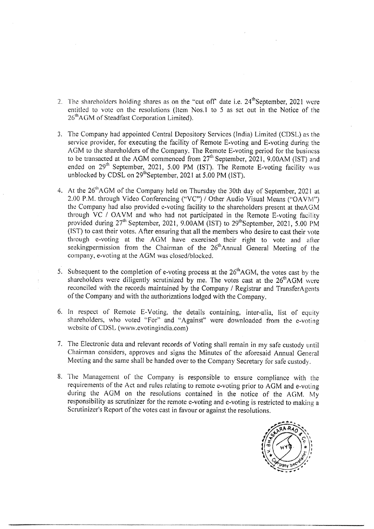- 2. The shareholders holding shares as on the "cut off" date i.e.  $24<sup>th</sup>$ September, 2021 were entitled to vote on the resolutions (Item Nos.1 to 5 as set out in the Notice of the 26<sup>th</sup>AGM of Steadfast Corporation Limited).
- 3. The Company had appointed Central Depository Services (India) Limited (CDSL) as the service provider, for executing the facility of Remote E-voting and E-voting during the AGM to the shareholders of the Company. The Remote E-voting period for the business to be transacted at the AGM commenced from  $27<sup>th</sup>$  September, 2021, 9.00AM (IST) and ended on  $29^{\rm m}$  September, 2021, 5.00 PM (IST). The Remote E-voting facility was unblocked by CDSL on  $29^{\text{th}}$ September, 2021 at 5.00 PM (IST).
- 4. At the 26"AGM of the Company held on Thursday the 30th day of September, 2021 at 2.00 P.M. through Video Conferencing ("VC") / Other Audio Visual Means ("OAVM") the Company had also provided e-voting facility to the shareholders present at theAGM through VC / OAVM and who had not participated in the Remote E-voting facility provided during 27<sup>th</sup> September, 2021, 9.00AM (IST) to 29<sup>th</sup> September, 2021, 5.00 PM (IST) to cast their votes. After ensuring that all the members who desire to cast their vote through e-voting at the AGM have exercised their right to vote and after seekingpermission from the Chairman of the 26<sup>th</sup>Annual General Meeting of the company, e-voting at the AGM was closed/blocked. 7. In such of the Noble of Taylor and the Vat of Table 1. A Playmetical CCP was the result of the Noble of Taylor (19) and the Vat of Table 1. A Playmetical CCP with  $2^2$  Waylor (19) and  $2^2$  Waylor (19) and  $2^2$  Waylo
	- 5. Subsequent to the completion of e-voting process at the  $26<sup>th</sup>AGM$ , the votes cast by the shareholders were diligently scrutinized by me. The votes cast at the  $26<sup>th</sup>AGM$  were reconciled with the records maintained by the Company / Registrar and TransferA gents of the Company and with the authorizations lodged with the Company.
	- 6. In respect of Remote E-Voting, the details containing, inter-alia, list of equity shareholders, who voted "For" and "Against" were downloaded from the e-voting website of CDSL (www.evotingindia.com)
	- 7. The Electronic data and relevant records of Voting shall remain in my safe custody until Chairman considers, approves and signs the Minutes of the aforesaid Annual General Meeting and the same shall be handed over to th
	- 8. The Management of the Company is responsible to ensure compliance with the requirements of the Act and rules relating to remote e-voting prior to AGM and e-voting during the AGM on the resolutions contained in the notic

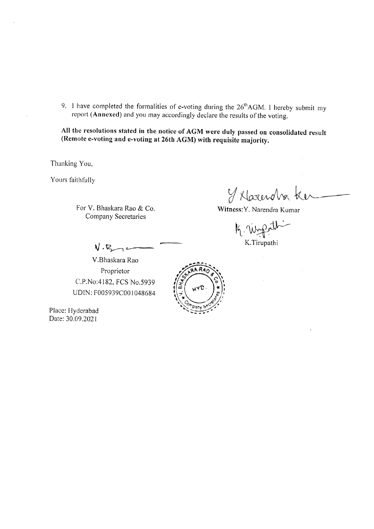9. I have completed the formalities of e-voting during the  $26<sup>th</sup>AGM$ . I hereby submit my report (Annexed) and you may accordingly declare the results of the voting.

All the resolutions stated in the notice of AGM were duly passed on consolidated result (Remote e-voting and e-voting at 26th AGM) with requisite majority.

Thanking You,

Yours faithfully

For V. Bhaskara Rao & Co. Company Secretaries

 $y$  Harendra &

Witness: Y. Narendra Kumar

K. Wiggath

 $V \cdot R$  –  $\longleftarrow$  K.Tirupathi

V.Bhaskara Rao Proprietor C.P.No:4182, FCS No.5939 UDIN: F005939C00 1048684

Place: Hyderabad Date: 30.09.2021

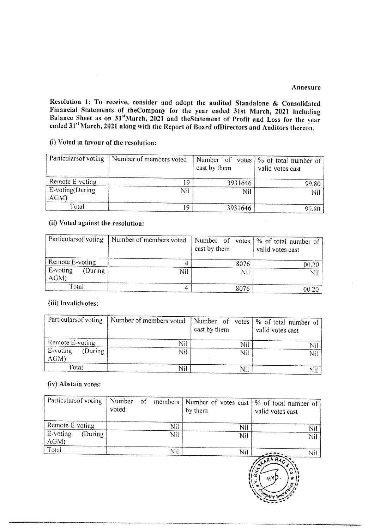Resolution 1: To receive, consider and adopt the audited Standalone & Consolidated<br>Financial Statements of the Company for the year ended 31st March, 2021 including<br>Balance Sheet as on 31<sup>st</sup>March, 2021 and the Statement Resolution 1: To receive, consider and ade<br>Financial Statements of the Company for the Balance Sheet as on  $31^{\text{st}}$ March, 2021 and the ended  $31^{\text{st}}$  March, 2021 along with the Report (i) Voted in favour of the resolu Resolution 1: To receive, consider and add<br>Financial Statements of the<br>Company for t<br>Balance Sheet as on  $31^{\text{st}}$ <br>March, 2021 along with the Report<br>(i) Voted in favour of the resolution:<br>Particularsof voting<br>Particulars

### (i) Voted in favour of the resolution:

|                                        |                                                                                                                                                                            |                |                                    | Annexure                                             |
|----------------------------------------|----------------------------------------------------------------------------------------------------------------------------------------------------------------------------|----------------|------------------------------------|------------------------------------------------------|
|                                        | Resolution 1: To receive, consider and adopt the audited Standalone & Consolidated                                                                                         |                |                                    |                                                      |
|                                        | Financial Statements of the Company for the year ended 31st March, 2021 including<br>Balance Sheet as on 31stMarch, 2021 and the Statement of Profit and Loss for the year |                |                                    |                                                      |
|                                        | ended 31st March, 2021 along with the Report of Board of Directors and Auditors thereon.                                                                                   |                |                                    |                                                      |
| (i) Voted in favour of the resolution: |                                                                                                                                                                            |                |                                    |                                                      |
| Particularsof voting                   | Number of members voted                                                                                                                                                    |                | Number of votes                    | % of total number of                                 |
| Remote E-voting                        |                                                                                                                                                                            |                | cast by them                       | valid votes cast                                     |
| E-voting(During                        |                                                                                                                                                                            | 19<br>Nil      | 3931646<br>Nil                     | 99.80<br>Nil                                         |
| AGM)<br>Total                          |                                                                                                                                                                            | 19             | 3931646                            | 99.80                                                |
| (ii) Voted against the resolution:     |                                                                                                                                                                            |                |                                    |                                                      |
|                                        |                                                                                                                                                                            |                |                                    |                                                      |
| Particularsof voting                   | Number of members voted                                                                                                                                                    |                | Number of<br>votes<br>cast by them | $\frac{9}{6}$ of total number of<br>valid votes cast |
| Remote E-voting<br>E-voting<br>(During | Nil                                                                                                                                                                        | 4              | 8076                               | 00.20                                                |
| AGM)                                   |                                                                                                                                                                            |                | Nil                                | Nil                                                  |
| Total                                  |                                                                                                                                                                            | $\overline{4}$ | 8076                               | 00.20                                                |
| (iii) Invalidvotes:                    |                                                                                                                                                                            |                |                                    |                                                      |
| Particulars of voting                  | Number of members voted                                                                                                                                                    |                | Number of votes<br>cast by them    | % of total number of<br>valid votes cast             |
| Remote E-voting                        | Nil                                                                                                                                                                        |                | Nil                                | Nil                                                  |
| E-voting<br>(During)<br>AGM)           | Nil                                                                                                                                                                        |                | Nil                                | Nil                                                  |
| Total                                  | Nil                                                                                                                                                                        |                | Nil                                | Nil                                                  |
| (iv) Abstain votes:                    |                                                                                                                                                                            |                |                                    |                                                      |
| Particularsof voting                   | Number<br>of<br>members                                                                                                                                                    |                | Number of votes cast               | % of total number of                                 |
|                                        | voted                                                                                                                                                                      |                | by them                            | valid votes cast                                     |
|                                        |                                                                                                                                                                            |                |                                    |                                                      |

### (ii) Voted against the resolution:

| Particulars of voting        | Number of members voted | cast by them | Number of votes $\frac{1}{6}$ of total number of<br>valid votes cast |
|------------------------------|-------------------------|--------------|----------------------------------------------------------------------|
| Remote E-voting              |                         | 8076         | 00.20                                                                |
| E-voting<br>(During)<br>AGM) | Nil                     | Nil          | Nil                                                                  |
| Total                        |                         | 8076         | 00.20                                                                |

### (iii) Invalidvotes:

| Remote E-voting                    | 19                               | 3931646                            | 99.80                                    |
|------------------------------------|----------------------------------|------------------------------------|------------------------------------------|
| E-voting(During                    | Nil                              | Nil                                | Nil                                      |
| AGM)                               |                                  |                                    |                                          |
| Total                              | 19                               | 3931646                            | 99.80                                    |
| (ii) Voted against the resolution: |                                  |                                    |                                          |
| Particularsof voting               | Number of members voted          | Number of<br>votes                 | $%$ of total number of                   |
|                                    |                                  | cast by them                       | valid votes cast                         |
| Remote E-voting                    | 4                                | 8076                               | 00.20                                    |
| E-voting<br>(During)<br>AGM)       | Nil                              | Nil                                | Nil                                      |
| Total                              | $\overline{4}$                   | 8076                               | 00.20                                    |
| Particularsof voting               | Number of members voted          | Number of<br>votes<br>cast by them | % of total number of<br>valid votes cast |
| Remote E-voting                    | Nil                              | Nil                                | Nil                                      |
| E-voting<br>(During<br>AGM)        | Nil                              | Nil                                | Nil                                      |
| Total                              | Nil                              | Nil                                | Nil                                      |
| (iv) Abstain votes:                |                                  |                                    |                                          |
| Particularsof voting               | Number<br>of<br>members<br>voted | Number of votes cast<br>by them    | % of total number of<br>valid votes cast |
| Remote E-voting                    | Nil                              | Nil                                | Nil                                      |
| E-voting<br>(During<br>AGM)        | Nil                              | Nil                                | Nil                                      |
| maria de F                         |                                  |                                    |                                          |

### (iv) Abstain votes:

| Remote E-voting                                                                                        |                                  |                                 |                                          |
|--------------------------------------------------------------------------------------------------------|----------------------------------|---------------------------------|------------------------------------------|
|                                                                                                        | 19                               | 3931646                         | 99.80                                    |
| E-voting(During<br>AGM)                                                                                | Nil                              | Nil                             | Nil                                      |
| Total                                                                                                  | 19                               | 3931646                         | 99.80                                    |
| (ii) Voted against the resolution:                                                                     |                                  |                                 |                                          |
| Particularsof voting                                                                                   | Number of members voted          | Number of votes<br>cast by them | % of total number of<br>valid votes cast |
| Remote E-voting                                                                                        | $\boldsymbol{4}$                 | 8076                            | 00.20                                    |
| E-voting<br>(During<br>AGM)                                                                            | Nil                              | Nil                             | <b>Nil</b>                               |
| Total                                                                                                  | $\overline{4}$                   | 8076                            | 00.20                                    |
| Particularsof voting                                                                                   | Number of members voted          | Number of votes<br>cast by them | % of total number of<br>valid votes cast |
| Remote E-voting                                                                                        | Nil                              | Nil                             | Nil                                      |
| E-voting<br>(During)<br>AGM)                                                                           | Nil                              | Nil                             | Nil.                                     |
|                                                                                                        |                                  |                                 |                                          |
| Total                                                                                                  | Nil                              | Nil                             | Nil                                      |
|                                                                                                        | Number<br>of<br>members<br>voted | Number of votes cast<br>by them | % of total number of<br>valid votes cast |
|                                                                                                        | Nil                              | Nil                             | Nil                                      |
| (iv) Abstain votes:<br>Particularsof voting<br>Remote E-voting<br>E-voting<br>(During<br>AGM)<br>Total | Nil                              | Nil                             | Nil.                                     |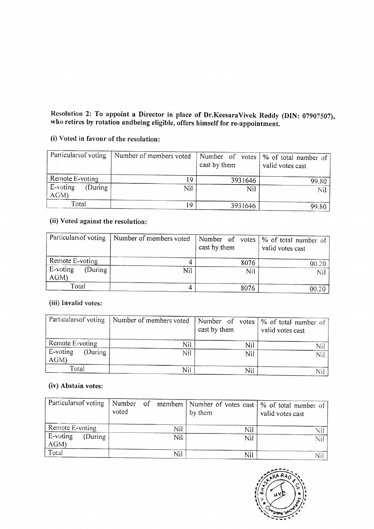# Resolution 2: To appoint a Director in place of Dr.KeesaraVivek Reddy (DIN: 07907507), who retires by rotation andbeing eligible, offers himself for re-appointment. Resolution 2: To appoint a Director in place<br>who retires by rotation and<br>being eligible, offer (i) Voted in favour of the resolution:

### (i) Voted in favour of the resolution:

|                                        | Resolution 2: To appoint a Director in place of Dr.KeesaraVivek Reddy (DIN: 07907507) |                                 |                                                      |
|----------------------------------------|---------------------------------------------------------------------------------------|---------------------------------|------------------------------------------------------|
|                                        | who retires by rotation andbeing eligible, offers himself for re-appointment.         |                                 |                                                      |
| (i) Voted in favour of the resolution: |                                                                                       |                                 |                                                      |
| Particulars of voting                  | Number of members voted                                                               | Number of votes<br>cast by them | % of total number of<br>valid votes cast             |
| Remote E-voting                        | 19                                                                                    | 3931646                         | 99.80                                                |
| E-voting<br>(During<br>AGM)            | Nil                                                                                   | Nil                             | Nil                                                  |
| Total                                  | 19                                                                                    | 3931646                         | 99.80                                                |
| (ii) Voted against the resolution:     |                                                                                       |                                 |                                                      |
| Particulars of voting                  | Number of members voted                                                               | Number of votes<br>cast by them | % of total number of<br>valid votes cast             |
| Remote E-voting                        |                                                                                       | $\overline{4}$<br>8076          | 00.20                                                |
| E-voting<br>(During<br>AGM)            | Nil                                                                                   | Nil                             | Nil                                                  |
| Total                                  |                                                                                       | 4<br>8076                       | 00.20                                                |
| (iii) Invalid votes:                   |                                                                                       |                                 |                                                      |
| Particularsof voting                   | Number of members voted                                                               | Number of votes<br>cast by them | $\frac{9}{6}$ of total number of<br>valid votes cast |
| Remote E-voting                        | Nil                                                                                   | <b>Nil</b>                      | Nil                                                  |
| E-voting<br>(During<br>AGM)            | Nil                                                                                   | Nil                             | Nil                                                  |
| Total                                  | Nil                                                                                   | Nil                             | Nil                                                  |
| (iv) Abstain votes:                    |                                                                                       |                                 |                                                      |
| Particularsof voting                   | Number<br>of<br>members<br>voted                                                      | Number of votes cast<br>by them | % of total number of<br>valid votes cast             |
| $\mathbf{r}$                           |                                                                                       |                                 |                                                      |

### (ii) Voted against the resolution:

| Particulars of voting        | Number of members voted | cast by them | Number of votes   % of total number of<br>valid votes cast |
|------------------------------|-------------------------|--------------|------------------------------------------------------------|
| Remote E-voting              |                         | 8076         | 00.20                                                      |
| E-voting<br>(During)<br>AGM) | Nil                     | Nil          | Ni                                                         |
| Total                        |                         | 8076         | ിറ                                                         |

### (iii) Invalid votes:

| Remote E-voting                              |                                  | 19<br>3931646                      | 99.80                                                |
|----------------------------------------------|----------------------------------|------------------------------------|------------------------------------------------------|
| E-voting<br>(During)<br>AGM)                 | Nil                              | Nil                                | Nil                                                  |
| Total                                        | 19                               | 3931646                            | 99.80                                                |
| (ii) Voted against the resolution:           |                                  |                                    |                                                      |
| Particularsof voting                         | Number of members voted          | Number of<br>votes<br>cast by them | $\frac{9}{6}$ of total number of<br>valid votes cast |
| Remote E-voting                              |                                  | 8076<br>4                          | 00.20                                                |
| E-voting<br>(During<br>AGM)                  | Nil                              | Nil                                | Nil                                                  |
| Total                                        |                                  | 4<br>8076                          | 00.20                                                |
| (iii) Invalid votes:<br>Particularsof voting | Number of members voted          | Number of<br>votes<br>cast by them | % of total number of<br>valid votes cast             |
| Remote E-voting                              | Nil                              | Nil                                | Nil                                                  |
| E-voting<br>(During<br>AGM)                  | Nil                              | Nil                                | Nil                                                  |
| Total                                        | Nil                              | Nil                                | Nil                                                  |
| (iv) Abstain votes:                          |                                  |                                    |                                                      |
| Particularsof voting                         | Number<br>of<br>members<br>voted | Number of votes cast  <br>by them  | % of total number of<br>valid votes cast             |
| Remote E-voting                              | Nil                              | Nil                                | Nil                                                  |
| E-voting<br>(During<br>AGM)                  | Nil                              | Nil                                | Nil                                                  |
| mari a sh                                    |                                  |                                    |                                                      |

### (iv) Abstain votes:

| Remote E-voting                               | 19                               | 3931646                            | 99.80                                    |
|-----------------------------------------------|----------------------------------|------------------------------------|------------------------------------------|
| E-voting<br>(During)<br>AGM)                  | Nil                              | Nil                                | Nil                                      |
| Total                                         | 19                               | 3931646                            | 99.80                                    |
| (ii) Voted against the resolution:            |                                  |                                    |                                          |
| Particularsof voting                          | Number of members voted          | Number<br>of votes<br>cast by them | % of total number of<br>valid votes cast |
| Remote E-voting                               | 4                                | 8076                               | 00.20                                    |
| E-voting<br>(During)<br>AGM)                  | Nil                              | Nil                                | Nil                                      |
| Total                                         | 4                                | 8076                               | 00.20                                    |
| (iii) Invalid votes:<br>Particulars of voting | Number of members voted          | Number of<br>votes<br>cast by them | % of total number of<br>valid votes cast |
| Remote E-voting                               | Nil                              | Nil                                | Nil                                      |
| E-voting<br>(During<br>AGM)                   | Nil                              | Nil                                | Nil                                      |
| Total                                         | Nil                              | Nil                                | Nil                                      |
| (iv) Abstain votes:                           |                                  |                                    |                                          |
| Particularsof voting                          | Number<br>of<br>members<br>voted | Number of votes cast<br>by them    | % of total number of<br>valid votes cast |
| Remote E-voting                               | Nil                              | Nil                                | Nil                                      |
| E-voting<br>(During<br>AGM)                   | Nil                              | Nil                                | Nil                                      |
| Total                                         | Nil                              | Nil                                | Nil                                      |



 $\sim$   $\sim$   $\sim$   $\sim$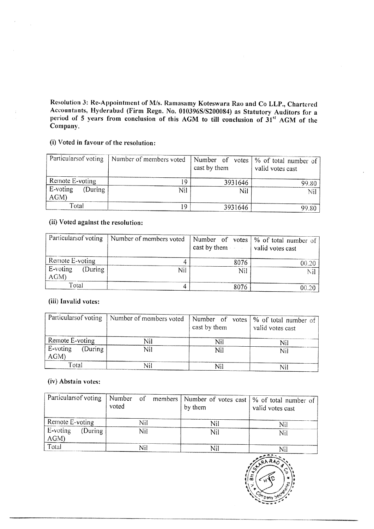Resolution 3: Re-Appointment of M/s. Ramasamy Koteswara Rao and Co LLP., Chartered Accountants, Hyderabad (Firm Regn. No. 010396S/S200084) as Statutory Auditors for a period of 5 years from conclusion of this AGM to till c Resolution 3: Re-Appointment of M/s. Ramas<br>Accountants, Hyderabad (Firm Regn. No. 0<br>period of 5 years from conclusion of this .<br>Company.<br>(i) Voted in favour of the resolution: Resolution 3: Re-Appointment of M/s. Ramas<br>Accountants, Hyderabad (Firm Regn. No. 0<br>period of 5 years from conclusion of this .<br>Company.<br>(i) Voted in favour of the resolution:<br>Particularsof voting Number of members voted

### (i) Voted in favour of the resolution:

|                                        | Resolution 3: Re-Appointment of M/s. Ramasamy Koteswara Rao and Co LLP., Chartered                                                                                         |                                    |                                          |
|----------------------------------------|----------------------------------------------------------------------------------------------------------------------------------------------------------------------------|------------------------------------|------------------------------------------|
| Company.                               | Accountants, Hyderabad (Firm Regn. No. 010396S/S200084) as Statutory Auditors for a<br>period of 5 years from conclusion of this AGM to till conclusion of 31st AGM of the |                                    |                                          |
|                                        |                                                                                                                                                                            |                                    |                                          |
| (i) Voted in favour of the resolution: |                                                                                                                                                                            |                                    |                                          |
| Particularsof voting                   | Number of members voted                                                                                                                                                    | Number of<br>votes<br>cast by them | % of total number of<br>valid votes cast |
| Remote E-voting                        | 19                                                                                                                                                                         | 3931646                            | 99.80                                    |
| E-voting<br>(During)<br>AGM)           | Nil                                                                                                                                                                        | Nil                                | Nil                                      |
| Total                                  | 19                                                                                                                                                                         | 3931646                            | 99.80                                    |
| (ii) Voted against the resolution:     |                                                                                                                                                                            |                                    |                                          |
| Particularsof voting                   | Number of members voted                                                                                                                                                    | Number of votes                    | % of total number of                     |
|                                        |                                                                                                                                                                            | cast by them                       | valid votes cast                         |
| Remote E-voting                        | 4                                                                                                                                                                          | 8076                               | 00.20                                    |
| E-voting<br>(During)<br>AGM)           | Nil                                                                                                                                                                        | Nil                                | Nil                                      |
| Total                                  | 4                                                                                                                                                                          | 8076                               | 00.20                                    |
| (iii) Invalid votes:                   |                                                                                                                                                                            |                                    |                                          |
| Particulars of voting                  | Number of members voted                                                                                                                                                    | Number of<br>votes<br>cast by them | % of total number of<br>valid votes cast |
| Remote E-voting                        | Nil                                                                                                                                                                        | <b>Nil</b>                         | Nil                                      |
| E-voting<br>(During<br>AGM)            | Nil                                                                                                                                                                        | Nil                                | Nil                                      |
| Total                                  | Nil                                                                                                                                                                        | Nil                                | Nil                                      |
| (iv) Abstain votes:                    |                                                                                                                                                                            |                                    |                                          |
|                                        |                                                                                                                                                                            |                                    |                                          |

### (ii) Voted against the resolution:

|                             | Particulars of voting   Number of members voted | cast by them $\vert$ valid votes cast | Number of votes   % of total number of |
|-----------------------------|-------------------------------------------------|---------------------------------------|----------------------------------------|
| Remote E-voting             |                                                 | 8076                                  | 00.20                                  |
| E-voting<br>(During)<br>AGM | Nil                                             | Nil                                   |                                        |
| Total                       |                                                 | 8076                                  | 00.2c                                  |

### (iii} Invalid votes:

| Particulars of voting                        | Number of members voted                | Number of votes<br>cast by them | % of total number of<br>valid votes cast |
|----------------------------------------------|----------------------------------------|---------------------------------|------------------------------------------|
| Remote E-voting                              |                                        | 19<br>3931646                   | 99.80                                    |
| E-voting<br>(During)<br>AGM)                 | Nil                                    | Nil                             | Nil                                      |
| Total                                        |                                        | 19<br>3931646                   | 99.80                                    |
| (ii) Voted against the resolution:           |                                        |                                 |                                          |
| Particulars of voting                        | Number of members voted                | Number of votes                 | % of total number of                     |
|                                              |                                        | cast by them                    | valid votes cast                         |
| Remote E-voting                              |                                        | $\overline{4}$<br>8076          | 00.20                                    |
| E-voting<br>(During<br>AGM)                  | <b>Nil</b>                             | Nil                             | Nil                                      |
| Total                                        |                                        | $\overline{4}$<br>8076          | 00.20                                    |
| (iii) Invalid votes:<br>Particularsof voting | Number of members voted                | Number of<br>votes              | % of total number of                     |
|                                              |                                        | cast by them                    | valid votes cast                         |
| Remote E-voting                              | Nil                                    | Nil                             | Nil                                      |
| E-voting<br>(During)<br>AGM)                 | Nil                                    | Nil                             | Nil                                      |
| Total                                        | Nil                                    | Nil                             | Nil                                      |
| (iv) Abstain votes:                          |                                        |                                 |                                          |
| Particulars of voting                        | Number<br>$\sigma$<br>members<br>voted | Number of votes cast<br>by them | % of total number of<br>valid votes cast |
| Remote E-voting                              | Nil                                    | Nil                             | Nil.                                     |
| E-voting<br>(During<br>AGM)                  | <b>Nil</b>                             | Nil                             | Nil                                      |

### (iv) Abstain votes:

| Remote E-voting                             |                                             |                                 |                                          |
|---------------------------------------------|---------------------------------------------|---------------------------------|------------------------------------------|
|                                             |                                             | 19<br>3931646                   | 99.80                                    |
| E-voting<br>(During)<br>AGM)                |                                             | Nil<br>Nil                      | Nil                                      |
| Total                                       |                                             | 19<br>3931646                   | 99.80                                    |
| (ii) Voted against the resolution:          |                                             |                                 |                                          |
| Particularsof voting                        | Number of members voted                     | Number of votes<br>cast by them | % of total number of<br>valid votes cast |
| Remote E-voting                             |                                             | $\overline{4}$<br>8076          | 00.20                                    |
| E-voting<br>(During<br>AGM)                 | Nil                                         | Nil                             | Nil.                                     |
| Total                                       |                                             | $\overline{4}$<br>8076          | 00.20                                    |
| Particularsof voting                        | Number of members voted                     | Number of votes<br>cast by them | % of total number of<br>valid votes cast |
| Remote E-voting                             | Nil                                         | Nil                             | Nil                                      |
| E-voting<br>(During<br>AGM)                 | Nil                                         | Nil                             | Nil                                      |
| Total                                       | Nil                                         | Nil                             | Nil                                      |
|                                             |                                             |                                 |                                          |
| (iv) Abstain votes:<br>Particularsof voting | Number<br><sub>of</sub><br>members<br>voted | Number of votes cast<br>by them | % of total number of<br>valid votes cast |
| Remote E-voting                             | Nil                                         | Nil                             |                                          |
| E-voting<br>(During)<br>AGM)                | Nil                                         | Nil                             | Nil<br>Nil                               |

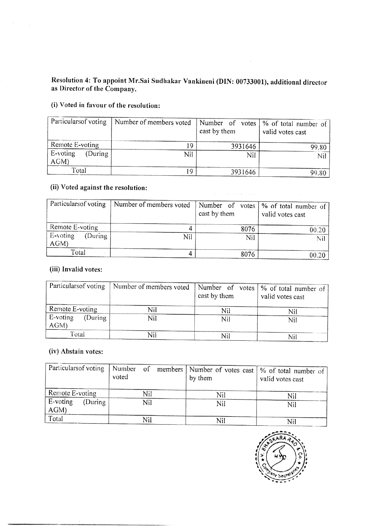## Resolution 4: To appoint Mr.Sai Sudhakar Vankineni (DIN: 00733001), additional director as Director of the Company. Solution 4: To appoint Mr.Sai Sudhakar V<br>Director of the Company.<br>Voted in favour of the resolution:

### (i) Voted in favour of the resolution:

 $\label{eq:2} \frac{1}{\sqrt{2}}\sum_{i=1}^n\frac{1}{\sqrt{2\pi}}\sum_{i=1}^n\frac{1}{\sqrt{2\pi}}\sum_{i=1}^n\frac{1}{\sqrt{2\pi}}\sum_{i=1}^n\frac{1}{\sqrt{2\pi}}\sum_{i=1}^n\frac{1}{\sqrt{2\pi}}\sum_{i=1}^n\frac{1}{\sqrt{2\pi}}\sum_{i=1}^n\frac{1}{\sqrt{2\pi}}\sum_{i=1}^n\frac{1}{\sqrt{2\pi}}\sum_{i=1}^n\frac{1}{\sqrt{2\pi}}\sum_{i=1}^n\frac{1}{$ 

| as Director of the Company.            | Resolution 4: To appoint Mr.Sai Sudhakar Vankineni (DIN: 00733001), additional director |                                    |                                          |
|----------------------------------------|-----------------------------------------------------------------------------------------|------------------------------------|------------------------------------------|
| (i) Voted in favour of the resolution: |                                                                                         |                                    |                                          |
| Particularsof voting                   | Number of members voted                                                                 | Number of<br>votes<br>cast by them | % of total number of<br>valid votes cast |
| Remote E-voting                        | 19                                                                                      | 3931646                            | 99.80                                    |
| E-voting<br>(During<br>AGM)            | Nil                                                                                     | Nil                                | Nil                                      |
| Total                                  | 19                                                                                      | 3931646                            | 99.80                                    |
| (ii) Voted against the resolution:     |                                                                                         |                                    |                                          |
| Particularsof voting                   | Number of members voted                                                                 | Number of votes<br>cast by them    | % of total number of<br>valid votes cast |
| Remote E-voting                        | 4                                                                                       | 8076                               |                                          |
| E-voting<br>(During<br>AGM)            | Nil                                                                                     | Nil                                | 00.20<br>Nil                             |

### (ii) Voted against the resolution:

|                                        | Resolution 4: To appoint Mr.Sai Sudhakar Vankineni (DIN: 00733001), additional director |                                 |                                        |
|----------------------------------------|-----------------------------------------------------------------------------------------|---------------------------------|----------------------------------------|
| as Director of the Company.            |                                                                                         |                                 |                                        |
| (i) Voted in favour of the resolution: |                                                                                         |                                 |                                        |
| Particularsof voting                   | Number of members voted                                                                 | Number of votes                 | % of total number of                   |
|                                        |                                                                                         | cast by them                    | valid votes cast                       |
| Remote E-voting                        |                                                                                         | 19<br>3931646                   | 99.80                                  |
| E-voting<br>(During                    |                                                                                         | Nil<br>Nil                      | Nil                                    |
| AGM)                                   |                                                                                         |                                 |                                        |
| Total                                  |                                                                                         | 19<br>3931646                   | 99.80                                  |
| (ii) Voted against the resolution:     |                                                                                         |                                 |                                        |
| Particularsof voting                   | Number of members voted                                                                 | Number of<br>votes              | % of total number of                   |
|                                        |                                                                                         | cast by them                    | valid votes cast                       |
| Remote E-voting                        |                                                                                         | 4<br>8076                       | 00.20                                  |
| E-voting<br>(During                    |                                                                                         | Nil<br>Nil                      | Nil                                    |
| AGM)                                   |                                                                                         |                                 |                                        |
| Total                                  |                                                                                         | $\overline{\mathbf{4}}$<br>8076 | 00.20                                  |
| (iii) Invalid votes:                   |                                                                                         |                                 |                                        |
|                                        |                                                                                         |                                 |                                        |
| Particularsof voting                   | Number of members voted                                                                 |                                 | Number of votes   % of total number of |
|                                        |                                                                                         | cast by them                    | valid votes cast                       |
| Remote E-voting                        | Nil                                                                                     | Nil                             | Nil                                    |
| E-voting<br>(During                    | Nil                                                                                     | Nil                             | Nil                                    |
| AGM)                                   |                                                                                         |                                 |                                        |
| Total                                  | Nil                                                                                     | Nil                             | Nil                                    |
| (iv) Abstain votes:                    |                                                                                         |                                 |                                        |
| Particulars of voting                  | Number<br>of<br>members                                                                 | Number of votes cast            | % of total number of                   |
|                                        | voted                                                                                   | by them                         | valid votes cast                       |
| Remote E-voting                        | Nil                                                                                     |                                 |                                        |
| E-voting<br>(During)                   | Nil                                                                                     | Nil<br>Nil                      | Nil<br>Nil                             |
| AGM)                                   |                                                                                         |                                 |                                        |
|                                        |                                                                                         |                                 |                                        |

### (iii) Invalid votes:

| Particulars of voting       | Number of members voted | cast by them | $\Box$ Number of votes   % of total number of  <br>valid votes cast |
|-----------------------------|-------------------------|--------------|---------------------------------------------------------------------|
| Remote E-voting             | Nil                     | Nil          | Nil                                                                 |
| E-voting<br>(During)<br>AGM | Nil                     | Nil          | Nil                                                                 |
| Total                       | Nil                     | Nil          |                                                                     |

### (iv) Abstain votes:

| Total                                        |                                             | 19<br>3931646                   | 99.80                                    |
|----------------------------------------------|---------------------------------------------|---------------------------------|------------------------------------------|
| (ii) Voted against the resolution:           |                                             | <b>Contractor</b>               |                                          |
| Particularsof voting                         | Number of members voted                     | Number of votes<br>cast by them | % of total number of<br>valid votes cast |
| Remote E-voting                              |                                             | 4<br>8076                       | 00.20                                    |
| E-voting<br>(During<br>AGM)                  | Nil                                         | Nil                             | $Ni\bar{I}$                              |
| Total                                        |                                             | $\overline{4}$<br>8076          | 00.20                                    |
| (iii) Invalid votes:<br>Particularsof voting | Number of members voted                     | Number of votes<br>cast by them | % of total number of                     |
|                                              |                                             |                                 | valid votes cast                         |
| Remote E-voting                              | Nil                                         | Nil                             | Nil                                      |
| E-voting<br>(During<br>AGM)                  | Nil                                         | Nil                             | Nil                                      |
| Total                                        | Nil                                         | Nil                             | Nil                                      |
| (iv) Abstain votes:<br>Particularsof voting  | Number<br><sub>of</sub><br>members<br>voted | Number of votes cast<br>by them | % of total number of<br>valid votes cast |
| Remote E-voting                              | Nil                                         | Nil                             | Nil                                      |
| E-voting<br>(During<br>AGM)                  | Nil                                         | Nil                             | Nil                                      |
| Total                                        | Nil                                         | Nil                             | Nil                                      |

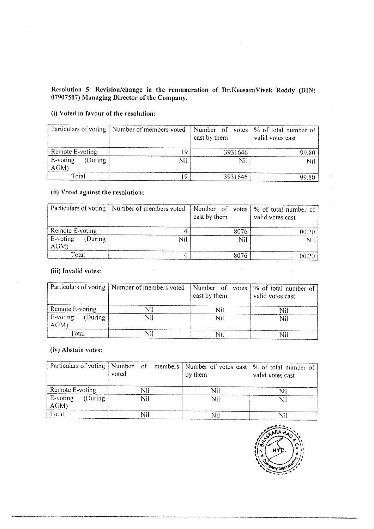### Resolution 5; Revision/change in the remuneration of Dr.KeesaraVivek Reddy (DIN: 07907507) Managing Director of the Company. Resolution 5: Revision/change in the remu<br>07907507) Managing Director of the Compan<br>(i) Voted in favour of the resolution:

### (i) Voted in favour of the resolution:

|                                                | Resolution 5: Revision/change in the remuneration of Dr.KeesaraVivek Reddy (DIN:<br>07907507) Managing Director of the Company. |                                    |                                          |
|------------------------------------------------|---------------------------------------------------------------------------------------------------------------------------------|------------------------------------|------------------------------------------|
| (i) Voted in favour of the resolution:         |                                                                                                                                 |                                    |                                          |
| Particulars of voting                          | Number of members voted                                                                                                         | Number of votes<br>cast by them    | % of total number of<br>valid votes cast |
| Remote E-voting                                | 19                                                                                                                              | 3931646                            | 99.80                                    |
| E-voting<br>(During)<br>AGM)                   | Nil                                                                                                                             | Nil                                | Nil                                      |
|                                                |                                                                                                                                 |                                    |                                          |
| Total                                          | 19                                                                                                                              | 3931646                            | 99.80                                    |
| (ii) Voted against the resolution:             |                                                                                                                                 |                                    |                                          |
| Particulars of voting                          | Number of members voted                                                                                                         | Number of votes<br>cast by them    | % of total number of<br>valid votes cast |
| Remote E-voting                                | 4                                                                                                                               | 8076                               |                                          |
| E-voting<br>(During                            | Nil                                                                                                                             | Nil                                | 00.20<br>Nil                             |
| AGM)                                           |                                                                                                                                 |                                    |                                          |
| Total<br>(iii) Invalid votes:                  | $\overline{4}$                                                                                                                  | 8076                               | 00.20                                    |
| Particulars of voting                          | Number of members voted                                                                                                         | Number of<br>votes<br>cast by them | % of total number of<br>valid votes cast |
|                                                |                                                                                                                                 |                                    |                                          |
| Remote E-voting<br>E-voting<br>(During<br>AGM) | Nil<br>Nil                                                                                                                      | Nil<br>Nil                         | Nil<br>Nil                               |

### (ii) Voted against the resolution:

|                                      | Particulars of voting   Number of members voted | cast by them | Number of votes   % of total number of<br>valid votes cast |
|--------------------------------------|-------------------------------------------------|--------------|------------------------------------------------------------|
| Remote E-voting                      |                                                 | 8076         | 00.20                                                      |
| $E$ -voting<br>(During)<br>$A$ $(M)$ | Nil                                             | Nil          | Nil                                                        |
| Total                                |                                                 | 8076         | 00.20                                                      |

### (iii) Invalid votes:

|                                        | Resolution 5: Revision/change in the remuneration of Dr.KeesaraVivek Reddy (DIN:<br>07907507) Managing Director of the Company. |                                 |                                          |
|----------------------------------------|---------------------------------------------------------------------------------------------------------------------------------|---------------------------------|------------------------------------------|
| (i) Voted in favour of the resolution: |                                                                                                                                 |                                 |                                          |
| Particulars of voting                  | Number of members voted                                                                                                         | Number of votes<br>cast by them | % of total number of<br>valid votes cast |
| Remote E-voting                        |                                                                                                                                 | 19<br>3931646                   | 99.80                                    |
| E-voting<br>(During<br>AGM)            | Nil                                                                                                                             | Nil                             | Nil                                      |
| Total                                  |                                                                                                                                 | 19<br>3931646                   | 99.80                                    |
| (ii) Voted against the resolution:     |                                                                                                                                 |                                 |                                          |
| Particulars of voting                  | Number of members voted                                                                                                         | Number of votes<br>cast by them | % of total number of<br>valid votes cast |
| Remote E-voting                        |                                                                                                                                 | 4<br>8076                       | 00.20                                    |
| E-voting<br>(During<br>AGM)            | Nil                                                                                                                             | Nil                             | Nil                                      |
| Total                                  |                                                                                                                                 | $\overline{4}$<br>8076          | 00.20                                    |
| (iii) Invalid votes:                   |                                                                                                                                 |                                 |                                          |
| Particulars of voting                  | Number of members voted                                                                                                         | Number of votes<br>cast by them | % of total number of<br>valid votes cast |
| Remote E-voting                        | Nil                                                                                                                             | Nil                             | Nil                                      |
| E-voting<br>(During<br>AGM)            | Nil                                                                                                                             | Nil                             | Nil                                      |
| Total                                  | Nil                                                                                                                             | Nil                             | Nil                                      |
| (iv) Abstain votes:                    |                                                                                                                                 |                                 |                                          |
| Particulars of voting                  | Number<br><sub>of</sub><br>members<br>voted                                                                                     | Number of votes cast<br>by them | % of total number of<br>valid votes cast |
| Remote E-voting                        | Nil                                                                                                                             | Nil                             | Nil                                      |
|                                        |                                                                                                                                 |                                 |                                          |

### (iv) Abstain votes:

| Nil<br>99.80<br>% of total number of<br>valid votes cast<br>00.20<br>Nil.<br>00.20 |
|------------------------------------------------------------------------------------|
|                                                                                    |
|                                                                                    |
|                                                                                    |
|                                                                                    |
|                                                                                    |
|                                                                                    |
|                                                                                    |
| % of total number of                                                               |
| valid votes cast                                                                   |
| Nil                                                                                |
| Nil                                                                                |
| Nil                                                                                |
| % of total number of<br>valid votes cast                                           |
| Nil                                                                                |
| Nil                                                                                |
| Nil                                                                                |
| <b>LARA RA</b>                                                                     |